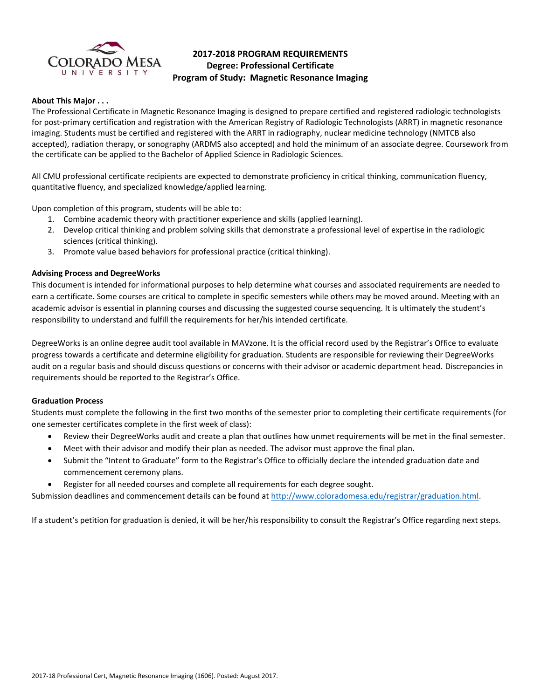

# **2017-2018 PROGRAM REQUIREMENTS Degree: Professional Certificate Program of Study: Magnetic Resonance Imaging**

#### **About This Major . . .**

The Professional Certificate in Magnetic Resonance Imaging is designed to prepare certified and registered radiologic technologists for post-primary certification and registration with the American Registry of Radiologic Technologists (ARRT) in magnetic resonance imaging. Students must be certified and registered with the ARRT in radiography, nuclear medicine technology (NMTCB also accepted), radiation therapy, or sonography (ARDMS also accepted) and hold the minimum of an associate degree. Coursework from the certificate can be applied to the Bachelor of Applied Science in Radiologic Sciences.

All CMU professional certificate recipients are expected to demonstrate proficiency in critical thinking, communication fluency, quantitative fluency, and specialized knowledge/applied learning.

Upon completion of this program, students will be able to:

- 1. Combine academic theory with practitioner experience and skills (applied learning).
- 2. Develop critical thinking and problem solving skills that demonstrate a professional level of expertise in the radiologic sciences (critical thinking).
- 3. Promote value based behaviors for professional practice (critical thinking).

#### **Advising Process and DegreeWorks**

This document is intended for informational purposes to help determine what courses and associated requirements are needed to earn a certificate. Some courses are critical to complete in specific semesters while others may be moved around. Meeting with an academic advisor is essential in planning courses and discussing the suggested course sequencing. It is ultimately the student's responsibility to understand and fulfill the requirements for her/his intended certificate.

DegreeWorks is an online degree audit tool available in MAVzone. It is the official record used by the Registrar's Office to evaluate progress towards a certificate and determine eligibility for graduation. Students are responsible for reviewing their DegreeWorks audit on a regular basis and should discuss questions or concerns with their advisor or academic department head. Discrepancies in requirements should be reported to the Registrar's Office.

#### **Graduation Process**

Students must complete the following in the first two months of the semester prior to completing their certificate requirements (for one semester certificates complete in the first week of class):

- Review their DegreeWorks audit and create a plan that outlines how unmet requirements will be met in the final semester.
- Meet with their advisor and modify their plan as needed. The advisor must approve the final plan.
- Submit the "Intent to Graduate" form to the Registrar's Office to officially declare the intended graduation date and commencement ceremony plans.
- Register for all needed courses and complete all requirements for each degree sought.

Submission deadlines and commencement details can be found at [http://www.coloradomesa.edu/registrar/graduation.html.](http://www.coloradomesa.edu/registrar/graduation.html)

If a student's petition for graduation is denied, it will be her/his responsibility to consult the Registrar's Office regarding next steps.